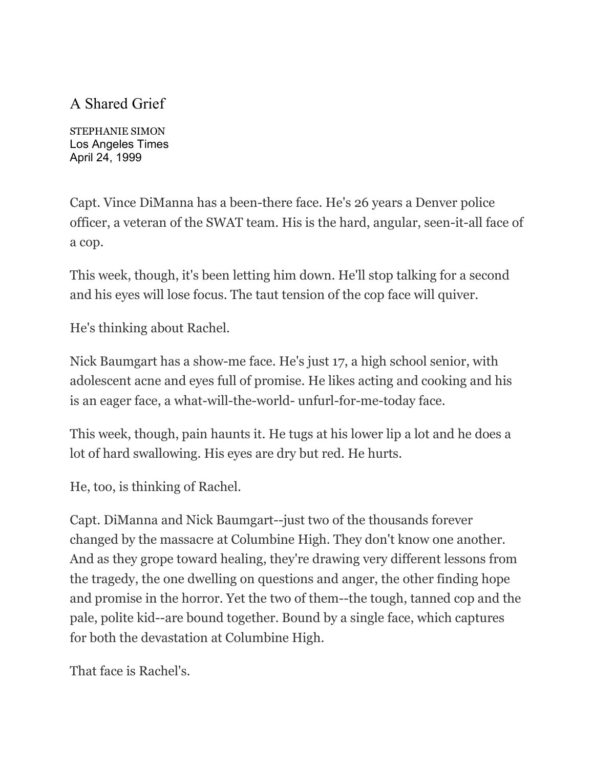## A Shared Grief

STEPHANIE SIMON Los Angeles Times April 24, 1999

Capt. Vince DiManna has a been-there face. He's 26 years a Denver police officer, a veteran of the SWAT team. His is the hard, angular, seen-it-all face of a cop.

This week, though, it's been letting him down. He'll stop talking for a second and his eyes will lose focus. The taut tension of the cop face will quiver.

He's thinking about Rachel.

Nick Baumgart has a show-me face. He's just 17, a high school senior, with adolescent acne and eyes full of promise. He likes acting and cooking and his is an eager face, a what-will-the-world- unfurl-for-me-today face.

This week, though, pain haunts it. He tugs at his lower lip a lot and he does a lot of hard swallowing. His eyes are dry but red. He hurts.

He, too, is thinking of Rachel.

Capt. DiManna and Nick Baumgart--just two of the thousands forever changed by the massacre at Columbine High. They don't know one another. And as they grope toward healing, they're drawing very different lessons from the tragedy, the one dwelling on questions and anger, the other finding hope and promise in the horror. Yet the two of them--the tough, tanned cop and the pale, polite kid--are bound together. Bound by a single face, which captures for both the devastation at Columbine High.

That face is Rachel's.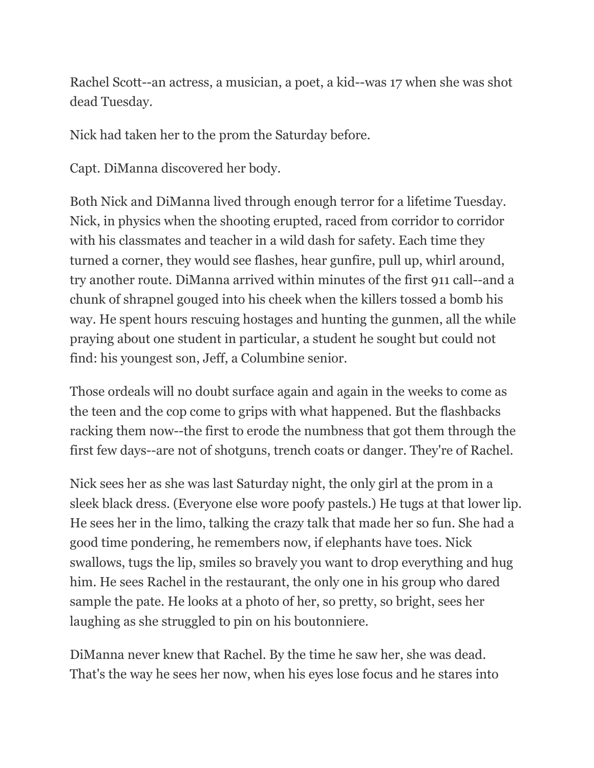Rachel Scott--an actress, a musician, a poet, a kid--was 17 when she was shot dead Tuesday.

Nick had taken her to the prom the Saturday before.

Capt. DiManna discovered her body.

Both Nick and DiManna lived through enough terror for a lifetime Tuesday. Nick, in physics when the shooting erupted, raced from corridor to corridor with his classmates and teacher in a wild dash for safety. Each time they turned a corner, they would see flashes, hear gunfire, pull up, whirl around, try another route. DiManna arrived within minutes of the first 911 call--and a chunk of shrapnel gouged into his cheek when the killers tossed a bomb his way. He spent hours rescuing hostages and hunting the gunmen, all the while praying about one student in particular, a student he sought but could not find: his youngest son, Jeff, a Columbine senior.

Those ordeals will no doubt surface again and again in the weeks to come as the teen and the cop come to grips with what happened. But the flashbacks racking them now--the first to erode the numbness that got them through the first few days--are not of shotguns, trench coats or danger. They're of Rachel.

Nick sees her as she was last Saturday night, the only girl at the prom in a sleek black dress. (Everyone else wore poofy pastels.) He tugs at that lower lip. He sees her in the limo, talking the crazy talk that made her so fun. She had a good time pondering, he remembers now, if elephants have toes. Nick swallows, tugs the lip, smiles so bravely you want to drop everything and hug him. He sees Rachel in the restaurant, the only one in his group who dared sample the pate. He looks at a photo of her, so pretty, so bright, sees her laughing as she struggled to pin on his boutonniere.

DiManna never knew that Rachel. By the time he saw her, she was dead. That's the way he sees her now, when his eyes lose focus and he stares into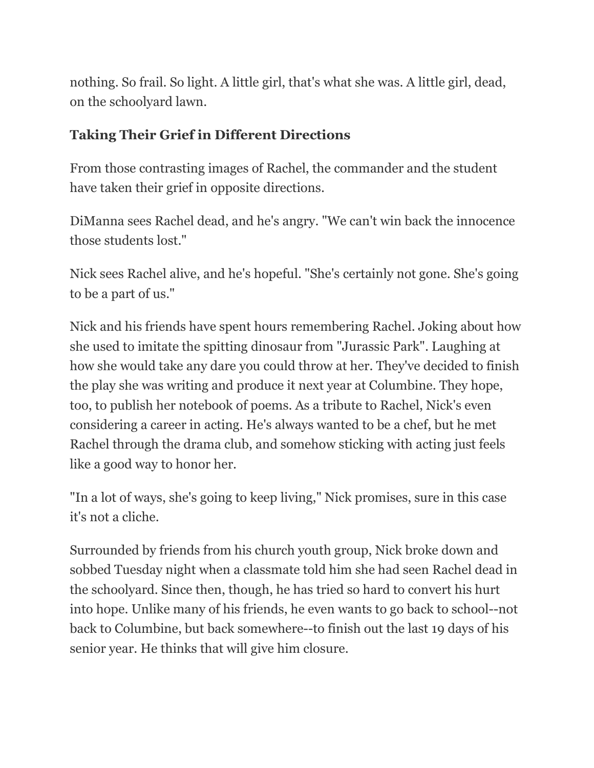nothing. So frail. So light. A little girl, that's what she was. A little girl, dead, on the schoolyard lawn.

## **Taking Their Grief in Different Directions**

From those contrasting images of Rachel, the commander and the student have taken their grief in opposite directions.

DiManna sees Rachel dead, and he's angry. "We can't win back the innocence those students lost."

Nick sees Rachel alive, and he's hopeful. "She's certainly not gone. She's going to be a part of us."

Nick and his friends have spent hours remembering Rachel. Joking about how she used to imitate the spitting dinosaur from "Jurassic Park". Laughing at how she would take any dare you could throw at her. They've decided to finish the play she was writing and produce it next year at Columbine. They hope, too, to publish her notebook of poems. As a tribute to Rachel, Nick's even considering a career in acting. He's always wanted to be a chef, but he met Rachel through the drama club, and somehow sticking with acting just feels like a good way to honor her.

"In a lot of ways, she's going to keep living," Nick promises, sure in this case it's not a cliche.

Surrounded by friends from his church youth group, Nick broke down and sobbed Tuesday night when a classmate told him she had seen Rachel dead in the schoolyard. Since then, though, he has tried so hard to convert his hurt into hope. Unlike many of his friends, he even wants to go back to school--not back to Columbine, but back somewhere--to finish out the last 19 days of his senior year. He thinks that will give him closure.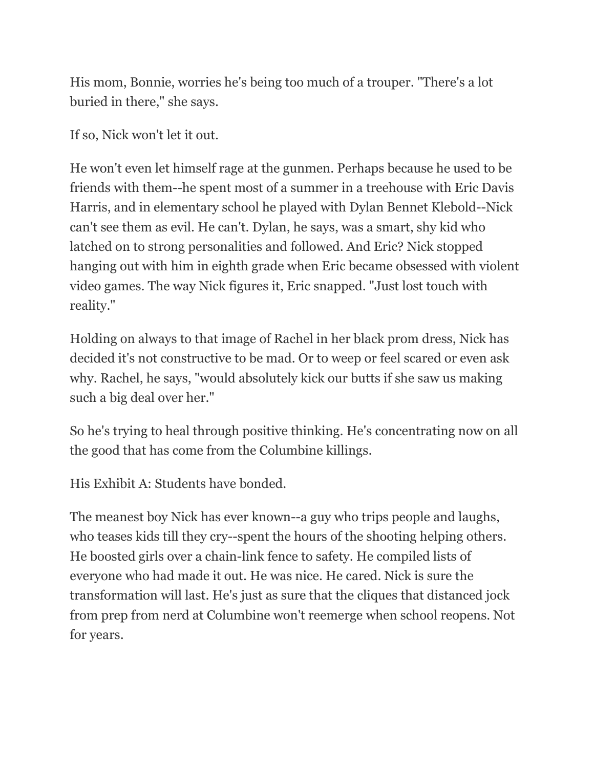His mom, Bonnie, worries he's being too much of a trouper. "There's a lot buried in there," she says.

If so, Nick won't let it out.

He won't even let himself rage at the gunmen. Perhaps because he used to be friends with them--he spent most of a summer in a treehouse with Eric Davis Harris, and in elementary school he played with Dylan Bennet Klebold--Nick can't see them as evil. He can't. Dylan, he says, was a smart, shy kid who latched on to strong personalities and followed. And Eric? Nick stopped hanging out with him in eighth grade when Eric became obsessed with violent video games. The way Nick figures it, Eric snapped. "Just lost touch with reality."

Holding on always to that image of Rachel in her black prom dress, Nick has decided it's not constructive to be mad. Or to weep or feel scared or even ask why. Rachel, he says, "would absolutely kick our butts if she saw us making such a big deal over her."

So he's trying to heal through positive thinking. He's concentrating now on all the good that has come from the Columbine killings.

His Exhibit A: Students have bonded.

The meanest boy Nick has ever known--a guy who trips people and laughs, who teases kids till they cry--spent the hours of the shooting helping others. He boosted girls over a chain-link fence to safety. He compiled lists of everyone who had made it out. He was nice. He cared. Nick is sure the transformation will last. He's just as sure that the cliques that distanced jock from prep from nerd at Columbine won't reemerge when school reopens. Not for years.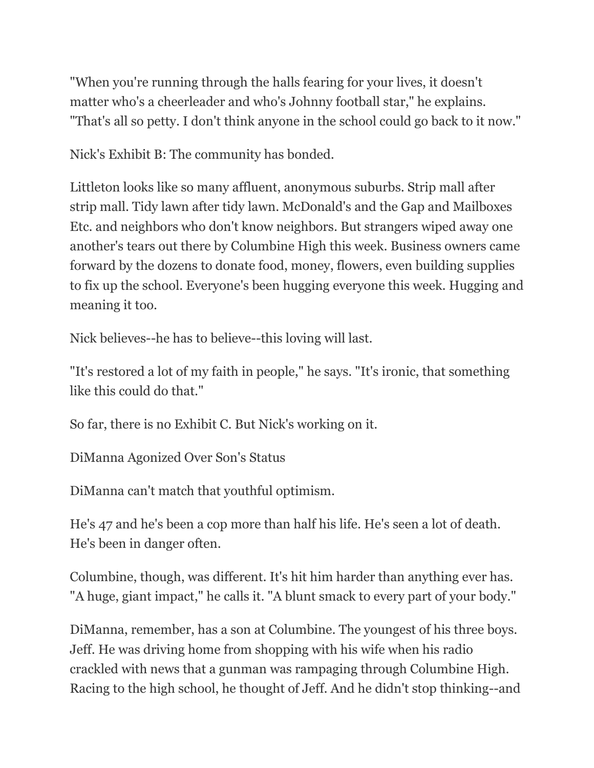"When you're running through the halls fearing for your lives, it doesn't matter who's a cheerleader and who's Johnny football star," he explains. "That's all so petty. I don't think anyone in the school could go back to it now."

Nick's Exhibit B: The community has bonded.

Littleton looks like so many affluent, anonymous suburbs. Strip mall after strip mall. Tidy lawn after tidy lawn. McDonald's and the Gap and Mailboxes Etc. and neighbors who don't know neighbors. But strangers wiped away one another's tears out there by Columbine High this week. Business owners came forward by the dozens to donate food, money, flowers, even building supplies to fix up the school. Everyone's been hugging everyone this week. Hugging and meaning it too.

Nick believes--he has to believe--this loving will last.

"It's restored a lot of my faith in people," he says. "It's ironic, that something like this could do that."

So far, there is no Exhibit C. But Nick's working on it.

DiManna Agonized Over Son's Status

DiManna can't match that youthful optimism.

He's 47 and he's been a cop more than half his life. He's seen a lot of death. He's been in danger often.

Columbine, though, was different. It's hit him harder than anything ever has. "A huge, giant impact," he calls it. "A blunt smack to every part of your body."

DiManna, remember, has a son at Columbine. The youngest of his three boys. Jeff. He was driving home from shopping with his wife when his radio crackled with news that a gunman was rampaging through Columbine High. Racing to the high school, he thought of Jeff. And he didn't stop thinking--and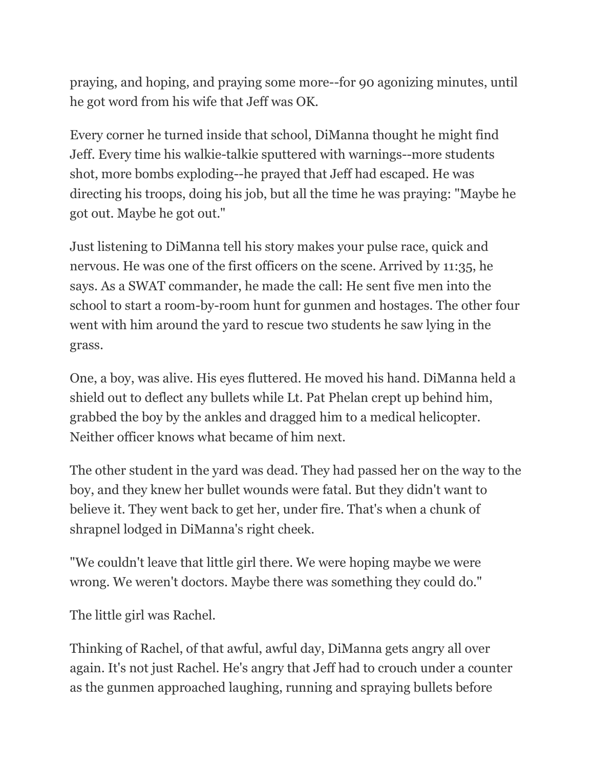praying, and hoping, and praying some more--for 90 agonizing minutes, until he got word from his wife that Jeff was OK.

Every corner he turned inside that school, DiManna thought he might find Jeff. Every time his walkie-talkie sputtered with warnings--more students shot, more bombs exploding--he prayed that Jeff had escaped. He was directing his troops, doing his job, but all the time he was praying: "Maybe he got out. Maybe he got out."

Just listening to DiManna tell his story makes your pulse race, quick and nervous. He was one of the first officers on the scene. Arrived by 11:35, he says. As a SWAT commander, he made the call: He sent five men into the school to start a room-by-room hunt for gunmen and hostages. The other four went with him around the yard to rescue two students he saw lying in the grass.

One, a boy, was alive. His eyes fluttered. He moved his hand. DiManna held a shield out to deflect any bullets while Lt. Pat Phelan crept up behind him, grabbed the boy by the ankles and dragged him to a medical helicopter. Neither officer knows what became of him next.

The other student in the yard was dead. They had passed her on the way to the boy, and they knew her bullet wounds were fatal. But they didn't want to believe it. They went back to get her, under fire. That's when a chunk of shrapnel lodged in DiManna's right cheek.

"We couldn't leave that little girl there. We were hoping maybe we were wrong. We weren't doctors. Maybe there was something they could do."

The little girl was Rachel.

Thinking of Rachel, of that awful, awful day, DiManna gets angry all over again. It's not just Rachel. He's angry that Jeff had to crouch under a counter as the gunmen approached laughing, running and spraying bullets before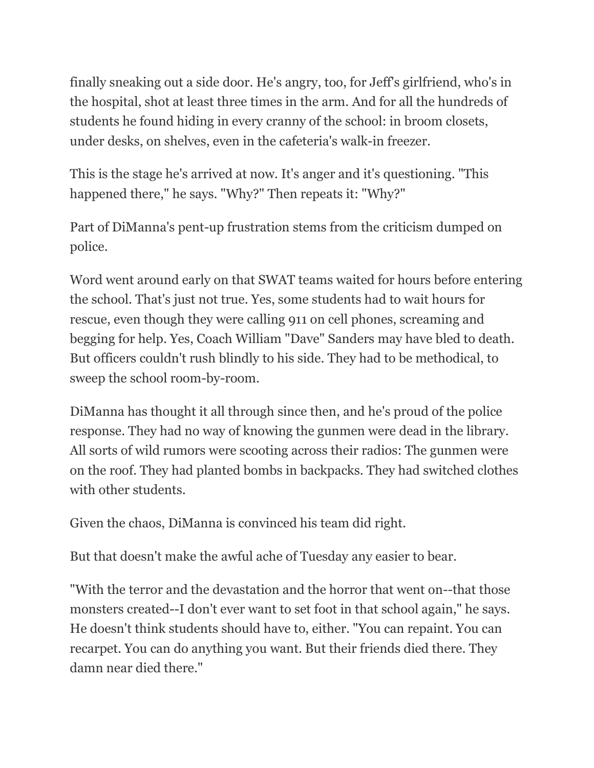finally sneaking out a side door. He's angry, too, for Jeff's girlfriend, who's in the hospital, shot at least three times in the arm. And for all the hundreds of students he found hiding in every cranny of the school: in broom closets, under desks, on shelves, even in the cafeteria's walk-in freezer.

This is the stage he's arrived at now. It's anger and it's questioning. "This happened there," he says. "Why?" Then repeats it: "Why?"

Part of DiManna's pent-up frustration stems from the criticism dumped on police.

Word went around early on that SWAT teams waited for hours before entering the school. That's just not true. Yes, some students had to wait hours for rescue, even though they were calling 911 on cell phones, screaming and begging for help. Yes, Coach William "Dave" Sanders may have bled to death. But officers couldn't rush blindly to his side. They had to be methodical, to sweep the school room-by-room.

DiManna has thought it all through since then, and he's proud of the police response. They had no way of knowing the gunmen were dead in the library. All sorts of wild rumors were scooting across their radios: The gunmen were on the roof. They had planted bombs in backpacks. They had switched clothes with other students.

Given the chaos, DiManna is convinced his team did right.

But that doesn't make the awful ache of Tuesday any easier to bear.

"With the terror and the devastation and the horror that went on--that those monsters created--I don't ever want to set foot in that school again," he says. He doesn't think students should have to, either. "You can repaint. You can recarpet. You can do anything you want. But their friends died there. They damn near died there."